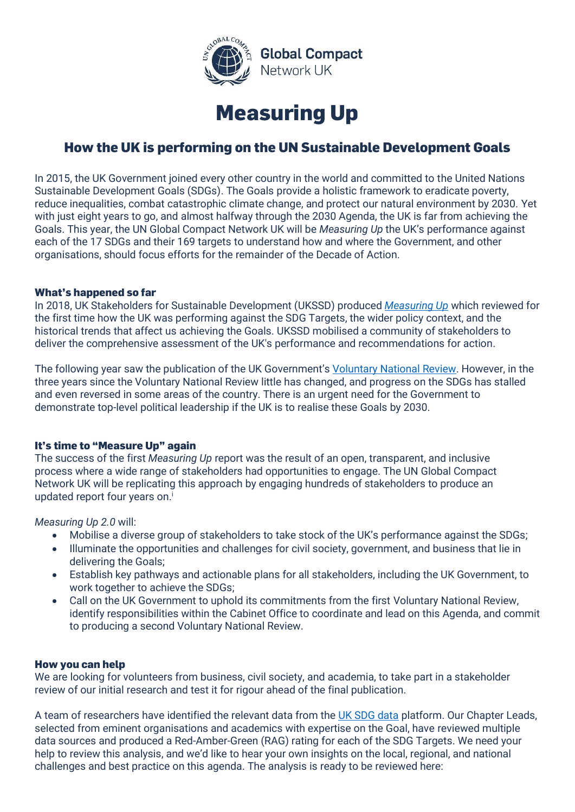



# **How the UK is performing on the UN Sustainable Development Goals**

In 2015, the UK Government joined every other country in the world and committed to the United Nations Sustainable Development Goals (SDGs). The Goals provide a holistic framework to eradicate poverty, reduce inequalities, combat catastrophic climate change, and protect our natural environment by 2030. Yet with just eight years to go, and almost halfway through the 2030 Agenda, the UK is far from achieving the Goals. This year, the UN Global Compact Network UK will be *Measuring Up* the UK's performance against each of the 17 SDGs and their 169 targets to understand how and where the Government, and other organisations, should focus efforts for the remainder of the Decade of Action.

## **What's happened so far**

In 2018, UK Stakeholders for Sustainable Development (UKSSD) produced *[Measuring Up](https://www.unglobalcompact.org.uk/ukssd-measuring-up/)* which reviewed for the first time how the UK was performing against the SDG Targets, the wider policy context, and the historical trends that affect us achieving the Goals. UKSSD mobilised a community of stakeholders to deliver the comprehensive assessment of the UK's performance and recommendations for action.

The following year saw the publication of the UK Government's [Voluntary National Review.](https://assets.publishing.service.gov.uk/government/uploads/system/uploads/attachment_data/file/818212/UKVNR-web-accessible1.pdf) However, in the three years since the Voluntary National Review little has changed, and progress on the SDGs has stalled and even reversed in some areas of the country. There is an urgent need for the Government to demonstrate top-level political leadership if the UK is to realise these Goals by 2030.

## **It's time to "Measure Up" again**

The success of the first *Measuring Up* report was the result of an open, transparent, and inclusive process where a wide range of stakeholders had opportunities to engage. The UN Global Compact Network UK will be replicating this approach by engaging hundreds of stakeholders to produce an updated report four years on. i

## *Measuring Up 2.0* will:

- Mobilise a diverse group of stakeholders to take stock of the UK's performance against the SDGs;
- Illuminate the opportunities and challenges for civil society, government, and business that lie in delivering the Goals;
- Establish key pathways and actionable plans for all stakeholders, including the UK Government, to work together to achieve the SDGs;
- Call on the UK Government to uphold its commitments from the first Voluntary National Review, identify responsibilities within the Cabinet Office to coordinate and lead on this Agenda, and commit to producing a second Voluntary National Review.

## **How you can help**

We are looking for volunteers from business, civil society, and academia, to take part in a stakeholder review of our initial research and test it for rigour ahead of the final publication.

A team of researchers have identified the relevant data from the [UK SDG data](https://sustainabledevelopment-uk.github.io/) platform. Our Chapter Leads, selected from eminent organisations and academics with expertise on the Goal, have reviewed multiple data sources and produced a Red-Amber-Green (RAG) rating for each of the SDG Targets. We need your help to review this analysis, and we'd like to hear your own insights on the local, regional, and national challenges and best practice on this agenda. The analysis is ready to be reviewed here: